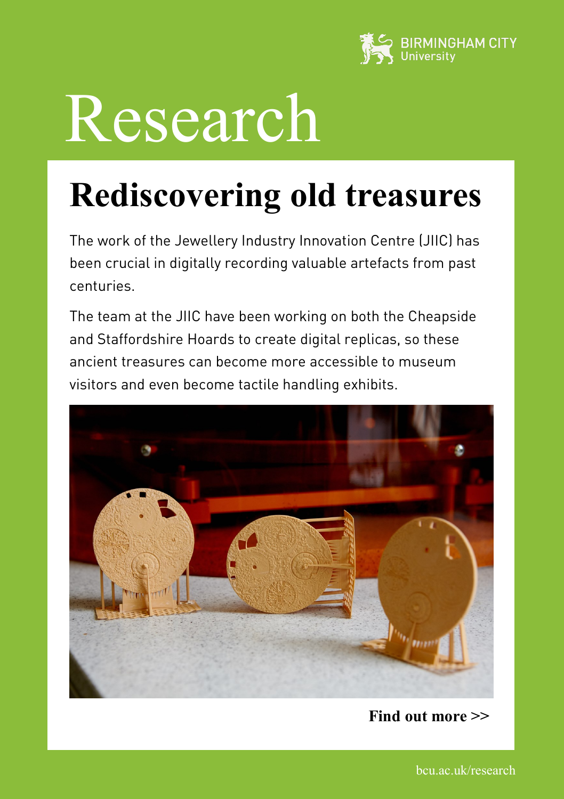

# Research

## **Rediscovering old treasures**

The work of the Jewellery Industry Innovation Centre (JIIC) has been crucial in digitally recording valuable artefacts from past centuries.

The team at the JIIC have been working on both the Cheapside and Staffordshire Hoards to create digital replicas, so these ancient treasures can become more accessible to museum visitors and even become tactile handling exhibits.



**Find out more >>**

bcu.ac.uk/research